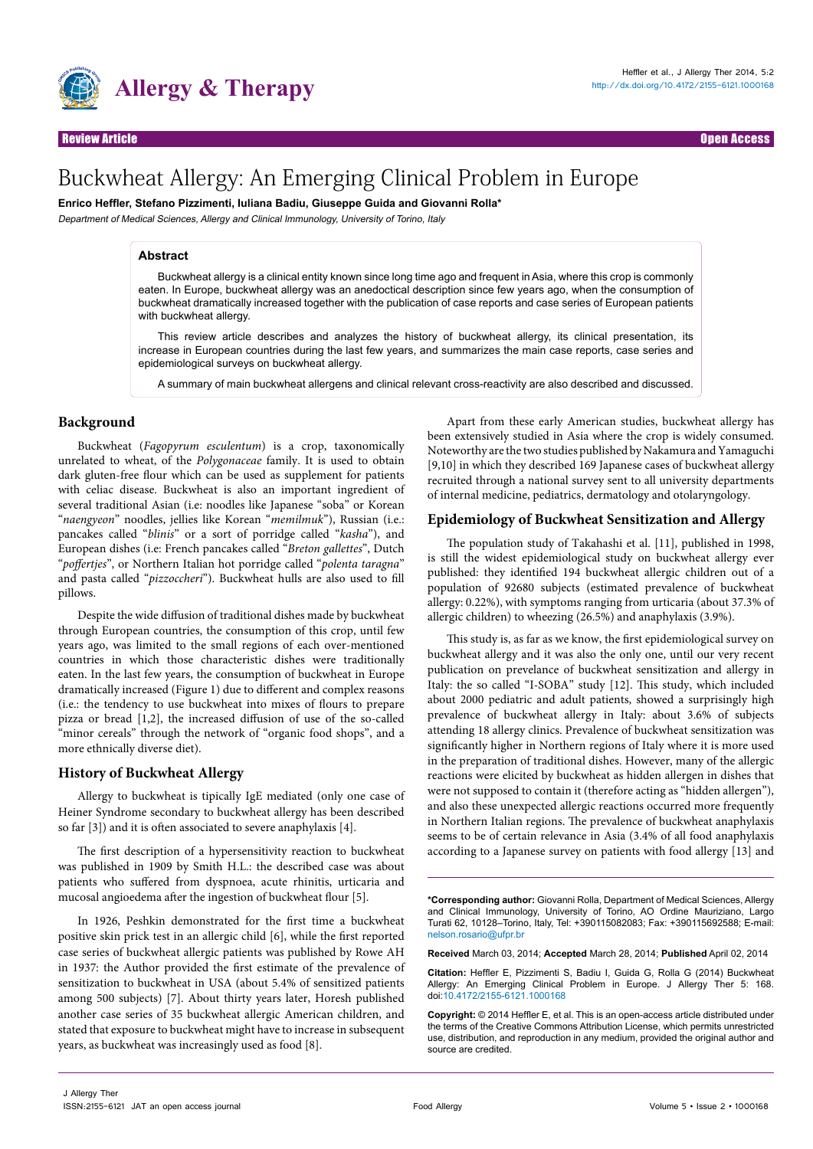

# Buckwheat Allergy: An Emerging Clinical Problem in Europe

**Enrico Heffler, Stefano Pizzimenti, Iuliana Badiu, Giuseppe Guida and Giovanni Rolla\***

Department of Medical Sciences, Allergy and Clinical Immunology, University of Torino, Italy

### **Abstract**

Buckwheat allergy is a clinical entity known since long time ago and frequent in Asia, where this crop is commonly eaten. In Europe, buckwheat allergy was an anedoctical description since few years ago, when the consumption of buckwheat dramatically increased together with the publication of case reports and case series of European patients with buckwheat allergy.

This review article describes and analyzes the history of buckwheat allergy, its clinical presentation, its increase in European countries during the last few years, and summarizes the main case reports, case series and epidemiological surveys on buckwheat allergy.

A summary of main buckwheat allergens and clinical relevant cross-reactivity are also described and discussed.

### **Background**

Buckwheat (*Fagopyrum esculentum*) is a crop, taxonomically unrelated to wheat, of the *Polygonaceae* family. It is used to obtain dark gluten-free flour which can be used as supplement for patients with celiac disease. Buckwheat is also an important ingredient of several traditional Asian (i.e: noodles like Japanese "soba" or Korean "*naengyeon*" noodles, jellies like Korean "*memilmuk*"), Russian (i.e.: pancakes called "*blinis*" or a sort of porridge called "*kasha*"), and European dishes (i.e: French pancakes called "*Breton gallettes*", Dutch "*poffertjes*", or Northern Italian hot porridge called "*polenta taragna*" and pasta called "*pizzoccheri*"). Buckwheat hulls are also used to fill pillows.

Despite the wide diffusion of traditional dishes made by buckwheat through European countries, the consumption of this crop, until few years ago, was limited to the small regions of each over-mentioned countries in which those characteristic dishes were traditionally eaten. In the last few years, the consumption of buckwheat in Europe dramatically increased (Figure 1) due to different and complex reasons (i.e.: the tendency to use buckwheat into mixes of flours to prepare pizza or bread [1,2], the increased diffusion of use of the so-called "minor cereals" through the network of "organic food shops", and a more ethnically diverse diet).

### **History of Buckwheat Allergy**

Allergy to buckwheat is tipically IgE mediated (only one case of Heiner Syndrome secondary to buckwheat allergy has been described so far [3]) and it is often associated to severe anaphylaxis [4].

The first description of a hypersensitivity reaction to buckwheat was published in 1909 by Smith H.L.: the described case was about patients who suffered from dyspnoea, acute rhinitis, urticaria and mucosal angioedema after the ingestion of buckwheat flour [5].

In 1926, Peshkin demonstrated for the first time a buckwheat positive skin prick test in an allergic child [6], while the first reported case series of buckwheat allergic patients was published by Rowe AH in 1937: the Author provided the first estimate of the prevalence of sensitization to buckwheat in USA (about 5.4% of sensitized patients among 500 subjects) [7]. About thirty years later, Horesh published another case series of 35 buckwheat allergic American children, and stated that exposure to buckwheat might have to increase in subsequent years, as buckwheat was increasingly used as food [8].

Apart from these early American studies, buckwheat allergy has been extensively studied in Asia where the crop is widely consumed. Noteworthy are the two studies published by Nakamura and Yamaguchi [9,10] in which they described 169 Japanese cases of buckwheat allergy recruited through a national survey sent to all university departments of internal medicine, pediatrics, dermatology and otolaryngology.

### **Epidemiology of Buckwheat Sensitization and Allergy**

The population study of Takahashi et al. [11], published in 1998, is still the widest epidemiological study on buckwheat allergy ever published: they identified 194 buckwheat allergic children out of a population of 92680 subjects (estimated prevalence of buckwheat allergy: 0.22%), with symptoms ranging from urticaria (about 37.3% of allergic children) to wheezing (26.5%) and anaphylaxis (3.9%).

This study is, as far as we know, the first epidemiological survey on buckwheat allergy and it was also the only one, until our very recent publication on prevelance of buckwheat sensitization and allergy in Italy: the so called "I-SOBA" study [12]. This study, which included about 2000 pediatric and adult patients, showed a surprisingly high prevalence of buckwheat allergy in Italy: about 3.6% of subjects attending 18 allergy clinics. Prevalence of buckwheat sensitization was significantly higher in Northern regions of Italy where it is more used in the preparation of traditional dishes. However, many of the allergic reactions were elicited by buckwheat as hidden allergen in dishes that were not supposed to contain it (therefore acting as "hidden allergen"), and also these unexpected allergic reactions occurred more frequently in Northern Italian regions. The prevalence of buckwheat anaphylaxis seems to be of certain relevance in Asia (3.4% of all food anaphylaxis according to a Japanese survey on patients with food allergy [13] and

**\*Corresponding author:** Giovanni Rolla, Department of Medical Sciences, Allergy and Clinical Immunology, University of Torino, AO Ordine Mauriziano, Largo Turati 62, 10128–Torino, Italy, Tel: +390115082083; Fax: +390115692588; E-mail: nelson.rosario@ufpr.br

**Received** March 03, 2014; **Accepted** March 28, 2014; **Published** April 02, 2014

**Citation:** Heffler E, Pizzimenti S, Badiu I, Guida G, Rolla G (2014) Buckwheat Allergy: An Emerging Clinical Problem in Europe. J Allergy Ther 5: 168. doi:[10.4172/2155-6121.1000168](http://dx.doi.org/10.4172/2155-6121.1000168)

**Copyright:** © 2014 Heffler E, et al. This is an open-access article distributed under the terms of the Creative Commons Attribution License, which permits unrestricted use, distribution, and reproduction in any medium, provided the original author and source are credited.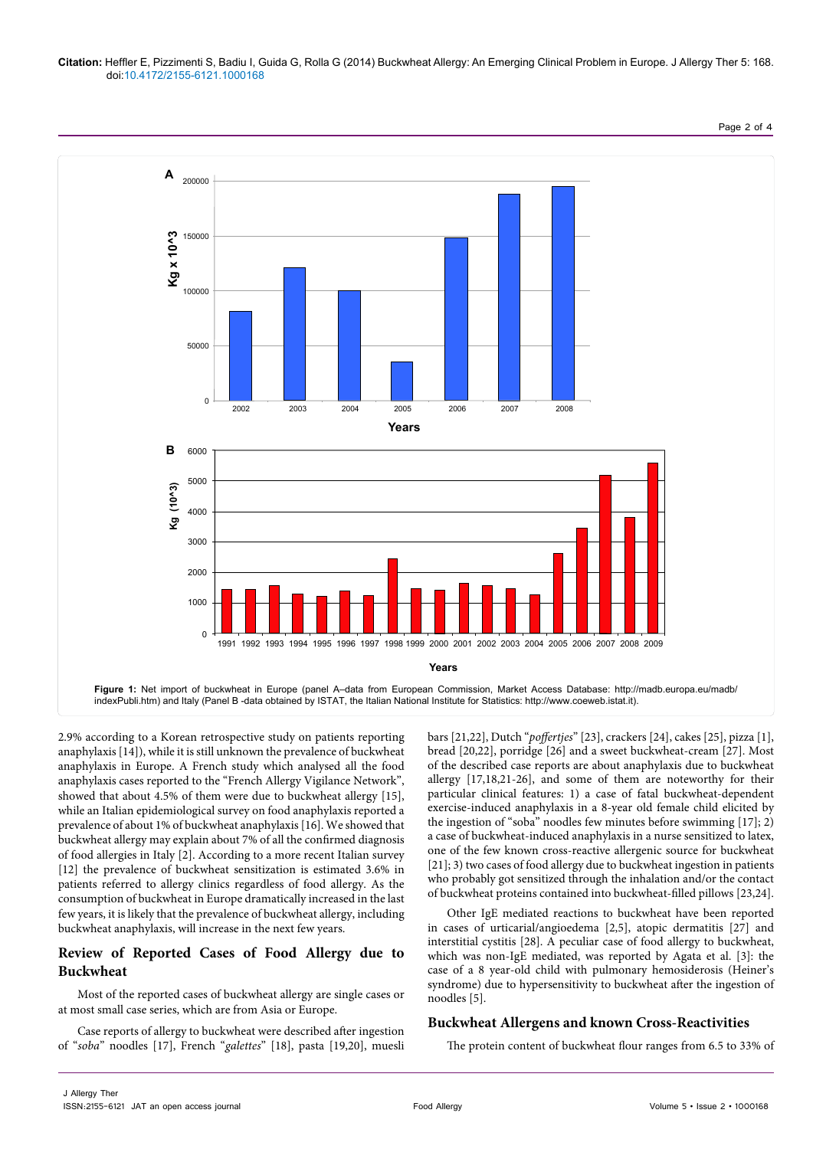### **Citation:** Heffler E, Pizzimenti S, Badiu I, Guida G, Rolla G (2014) Buckwheat Allergy: An Emerging Clinical Problem in Europe. J Allergy Ther 5: 168. doi:[10.4172/2155-6121.1000168](http://dx.doi.org/10.4172/2155-6121.1000168)

2002 2003 2004 2005 2006 2007 2008 **Years** 200000 150000 100000 50000  $\Omega$ **Kg x 10^3** 6000 5000 4000 3000 2000 1000  $\Omega$ 1991 1992 1993 1994 1995 1996 1997 1998 1999 2000 2001 2002 2003 2004 2005 2006 2007 2008 2009 **Years Kg (10^3) B A Figure 1:** Net import of buckwheat in Europe (panel A–data from European Commission, Market Access Database: http://madb.europa.eu/madb/ indexPubli.htm) and Italy (Panel B -data obtained by ISTAT, the Italian National Institute for Statistics: http://www.coeweb.istat.it).

2.9% according to a Korean retrospective study on patients reporting anaphylaxis [14]), while it is still unknown the prevalence of buckwheat anaphylaxis in Europe. A French study which analysed all the food anaphylaxis cases reported to the "French Allergy Vigilance Network", showed that about 4.5% of them were due to buckwheat allergy [15], while an Italian epidemiological survey on food anaphylaxis reported a prevalence of about 1% of buckwheat anaphylaxis [16]. We showed that buckwheat allergy may explain about 7% of all the confirmed diagnosis of food allergies in Italy [2]. According to a more recent Italian survey [12] the prevalence of buckwheat sensitization is estimated 3.6% in patients referred to allergy clinics regardless of food allergy. As the consumption of buckwheat in Europe dramatically increased in the last few years, it is likely that the prevalence of buckwheat allergy, including buckwheat anaphylaxis, will increase in the next few years.

## **Review of Reported Cases of Food Allergy due to Buckwheat**

Most of the reported cases of buckwheat allergy are single cases or at most small case series, which are from Asia or Europe.

Case reports of allergy to buckwheat were described after ingestion of "*soba*" noodles [17], French "*galettes*" [18], pasta [19,20], muesli bars [21,22], Dutch "*poffertjes*" [23], crackers [24], cakes [25], pizza [1], bread [20,22], porridge [26] and a sweet buckwheat-cream [27]. Most of the described case reports are about anaphylaxis due to buckwheat allergy [17,18,21-26], and some of them are noteworthy for their particular clinical features: 1) a case of fatal buckwheat-dependent exercise-induced anaphylaxis in a 8-year old female child elicited by the ingestion of "soba" noodles few minutes before swimming [17]; 2) a case of buckwheat-induced anaphylaxis in a nurse sensitized to latex, one of the few known cross-reactive allergenic source for buckwheat [21]; 3) two cases of food allergy due to buckwheat ingestion in patients who probably got sensitized through the inhalation and/or the contact of buckwheat proteins contained into buckwheat-filled pillows [23,24].

Other IgE mediated reactions to buckwheat have been reported in cases of urticarial/angioedema [2,5], atopic dermatitis [27] and interstitial cystitis [28]. A peculiar case of food allergy to buckwheat, which was non-IgE mediated, was reported by Agata et al. [3]: the case of a 8 year-old child with pulmonary hemosiderosis (Heiner's syndrome) due to hypersensitivity to buckwheat after the ingestion of noodles [5].

# **Buckwheat Allergens and known Cross-Reactivities**

The protein content of buckwheat flour ranges from 6.5 to 33% of

Page 2 of 4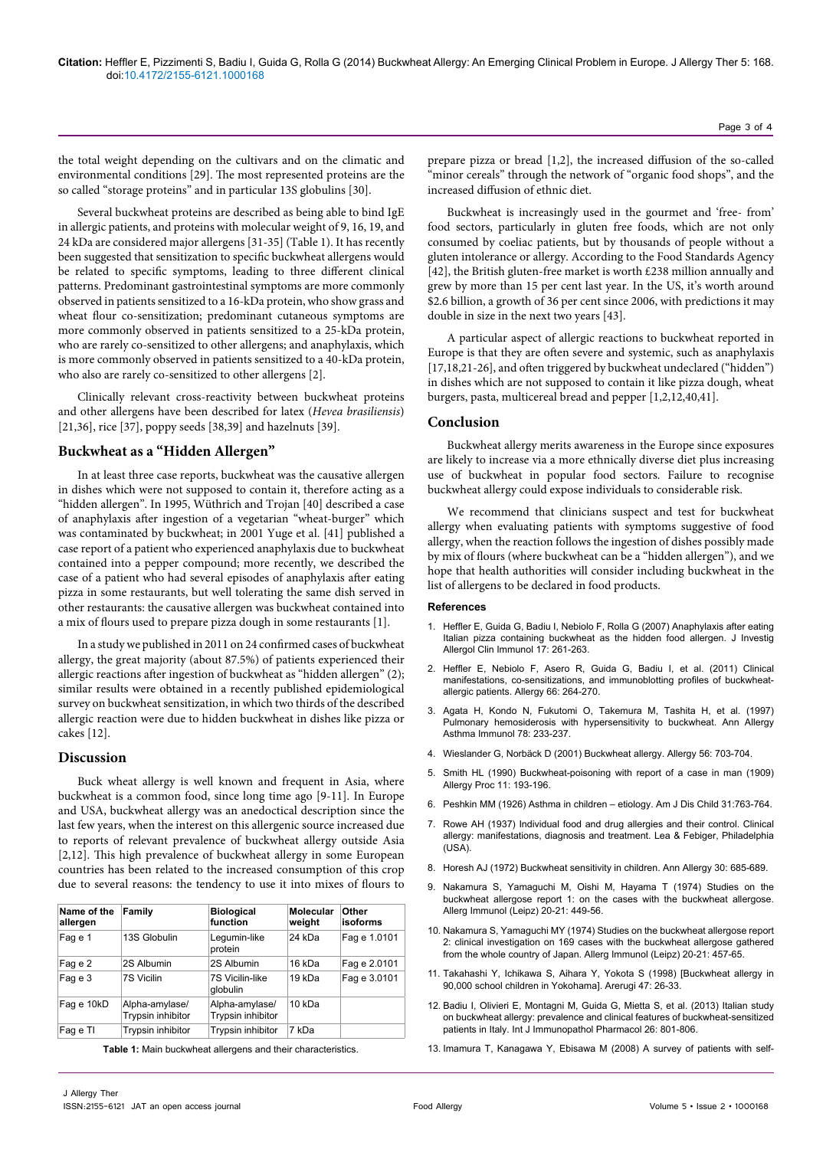the total weight depending on the cultivars and on the climatic and environmental conditions [29]. The most represented proteins are the so called "storage proteins" and in particular 13S globulins [30].

Several buckwheat proteins are described as being able to bind IgE in allergic patients, and proteins with molecular weight of 9, 16, 19, and 24 kDa are considered major allergens [31-35] (Table 1). It has recently been suggested that sensitization to specific buckwheat allergens would be related to specific symptoms, leading to three different clinical patterns. Predominant gastrointestinal symptoms are more commonly observed in patients sensitized to a 16-kDa protein, who show grass and wheat flour co-sensitization; predominant cutaneous symptoms are more commonly observed in patients sensitized to a 25-kDa protein, who are rarely co-sensitized to other allergens; and anaphylaxis, which is more commonly observed in patients sensitized to a 40-kDa protein, who also are rarely co-sensitized to other allergens [2].

Clinically relevant cross-reactivity between buckwheat proteins and other allergens have been described for latex (*Hevea brasiliensis*) [21,36], rice [37], poppy seeds [38,39] and hazelnuts [39].

### **Buckwheat as a "Hidden Allergen"**

In at least three case reports, buckwheat was the causative allergen in dishes which were not supposed to contain it, therefore acting as a "hidden allergen". In 1995, Wüthrich and Trojan [40] described a case of anaphylaxis after ingestion of a vegetarian "wheat-burger" which was contaminated by buckwheat; in 2001 Yuge et al. [41] published a case report of a patient who experienced anaphylaxis due to buckwheat contained into a pepper compound; more recently, we described the case of a patient who had several episodes of anaphylaxis after eating pizza in some restaurants, but well tolerating the same dish served in other restaurants: the causative allergen was buckwheat contained into a mix of flours used to prepare pizza dough in some restaurants [1].

In a study we published in 2011 on 24 confirmed cases of buckwheat allergy, the great majority (about 87.5%) of patients experienced their allergic reactions after ingestion of buckwheat as "hidden allergen" (2); similar results were obtained in a recently published epidemiological survey on buckwheat sensitization, in which two thirds of the described allergic reaction were due to hidden buckwheat in dishes like pizza or cakes [12].

### **Discussion**

Buck wheat allergy is well known and frequent in Asia, where buckwheat is a common food, since long time ago [9-11]. In Europe and USA, buckwheat allergy was an anedoctical description since the last few years, when the interest on this allergenic source increased due to reports of relevant prevalence of buckwheat allergy outside Asia [2,12]. This high prevalence of buckwheat allergy in some European countries has been related to the increased consumption of this crop due to several reasons: the tendency to use it into mixes of flours to

| Name of the<br>allergen | Family                              | <b>Biological</b><br>function       | Molecular<br>weight | Other<br><b>isoforms</b> |
|-------------------------|-------------------------------------|-------------------------------------|---------------------|--------------------------|
| Fag e 1                 | 13S Globulin                        | Legumin-like<br>protein             | 24 kDa              | Fag e 1.0101             |
| Fag e 2                 | 2S Albumin                          | 2S Albumin                          | 16 kDa              | Fag e 2.0101             |
| Fag e 3                 | 7S Vicilin                          | 7S Vicilin-like<br>globulin         | 19 kDa              | Fag e 3.0101             |
| Fag e 10kD              | Alpha-amylase/<br>Trypsin inhibitor | Alpha-amylase/<br>Trypsin inhibitor | 10 kDa              |                          |
| Fag e TI                | Trypsin inhibitor                   | <b>Trypsin inhibitor</b>            | 7 kDa               |                          |

**Table 1:** Main buckwheat allergens and their characteristics.

prepare pizza or bread [1,2], the increased diffusion of the so-called "minor cereals" through the network of "organic food shops", and the increased diffusion of ethnic diet.

Buckwheat is increasingly used in the gourmet and 'free- from' food sectors, particularly in gluten free foods, which are not only consumed by coeliac patients, but by thousands of people without a gluten intolerance or allergy. According to the Food Standards Agency [42], the British gluten-free market is worth £238 million annually and grew by more than 15 per cent last year. In the US, it's worth around \$2.6 billion, a growth of 36 per cent since 2006, with predictions it may double in size in the next two years [43].

A particular aspect of allergic reactions to buckwheat reported in Europe is that they are often severe and systemic, such as anaphylaxis [17,18,21-26], and often triggered by buckwheat undeclared ("hidden") in dishes which are not supposed to contain it like pizza dough, wheat burgers, pasta, multicereal bread and pepper [1,2,12,40,41].

### **Conclusion**

Buckwheat allergy merits awareness in the Europe since exposures are likely to increase via a more ethnically diverse diet plus increasing use of buckwheat in popular food sectors. Failure to recognise buckwheat allergy could expose individuals to considerable risk.

We recommend that clinicians suspect and test for buckwheat allergy when evaluating patients with symptoms suggestive of food allergy, when the reaction follows the ingestion of dishes possibly made by mix of flours (where buckwheat can be a "hidden allergen"), and we hope that health authorities will consider including buckwheat in the list of allergens to be declared in food products.

#### **References**

- 1. [Heffler E, Guida G, Badiu I, Nebiolo F, Rolla G \(2007\) Anaphylaxis after eating](http://www.ncbi.nlm.nih.gov/pubmed/17694699)  [Italian pizza containing buckwheat as the hidden food allergen. J Investig](http://www.ncbi.nlm.nih.gov/pubmed/17694699)  [Allergol Clin Immunol 17: 261-263.](http://www.ncbi.nlm.nih.gov/pubmed/17694699)
- 2. [Heffler E, Nebiolo F, Asero R, Guida G, Badiu I, et al. \(2011\) Clinical](http://www.ncbi.nlm.nih.gov/pubmed/20804471)  [manifestations, co-sensitizations, and immunoblotting profiles of buckwheat](http://www.ncbi.nlm.nih.gov/pubmed/20804471)[allergic patients. Allergy 66: 264-270.](http://www.ncbi.nlm.nih.gov/pubmed/20804471)
- 3. [Agata H, Kondo N, Fukutomi O, Takemura M, Tashita H, et al. \(1997\)](http://www.ncbi.nlm.nih.gov/pubmed/9048535)  [Pulmonary hemosiderosis with hypersensitivity to buckwheat. Ann Allergy](http://www.ncbi.nlm.nih.gov/pubmed/9048535)  [Asthma Immunol 78: 233-237.](http://www.ncbi.nlm.nih.gov/pubmed/9048535)
- 4. [Wieslander G, Norbäck D \(2001\) Buckwheat allergy. Allergy 56: 703-704.](http://www.ncbi.nlm.nih.gov/pubmed/11488663)
- 5. [Smith HL \(1990\) Buckwheat-poisoning with report of a case in man \(1909\)](http://www.ncbi.nlm.nih.gov/pubmed/2210371)  [Allergy Proc 11: 193-196.](http://www.ncbi.nlm.nih.gov/pubmed/2210371)
- 6. Peshkin MM (1926) Asthma in children etiology. Am J Dis Child 31:763-764.
- 7. Rowe AH (1937) Individual food and drug allergies and their control. Clinical allergy: manifestations, diagnosis and treatment. Lea & Febiger, Philadelphia  $(1)$ SA)
- 8. [Horesh AJ \(1972\) Buckwheat sensitivity in children. Ann Allergy 30: 685-689.](http://www.ncbi.nlm.nih.gov/pubmed/4635243)
- 9. [Nakamura S, Yamaguchi M, Oishi M, Hayama T \(1974\) Studies on the](http://www.ncbi.nlm.nih.gov/pubmed/4283490)  [buckwheat allergose report 1: on the cases with the buckwheat allergose.](http://www.ncbi.nlm.nih.gov/pubmed/4283490)  [Allerg Immunol \(Leipz\) 20-21: 449-56.](http://www.ncbi.nlm.nih.gov/pubmed/4283490)
- 10. [Nakamura S, Yamaguchi MY \(1974\) Studies on the buckwheat allergose report](http://www.ncbi.nlm.nih.gov/pubmed/4283491)  [2: clinical investigation on 169 cases with the buckwheat allergose gathered](http://www.ncbi.nlm.nih.gov/pubmed/4283491)  [from the whole country of Japan. Allerg Immunol \(Leipz\) 20-21: 457-65.](http://www.ncbi.nlm.nih.gov/pubmed/4283491)
- 11. [Takahashi Y, Ichikawa S, Aihara Y, Yokota S \(1998\) \[Buckwheat allergy in](http://www.ncbi.nlm.nih.gov/pubmed/9528162)  [90,000 school children in Yokohama\]. Arerugi 47: 26-33.](http://www.ncbi.nlm.nih.gov/pubmed/9528162)
- 12. [Badiu I, Olivieri E, Montagni M, Guida G, Mietta S, et al. \(2013\) Italian study](http://www.ncbi.nlm.nih.gov/pubmed/24067481)  [on buckwheat allergy: prevalence and clinical features of buckwheat-sensitized](http://www.ncbi.nlm.nih.gov/pubmed/24067481)  [patients in Italy. Int J Immunopathol Pharmacol 26: 801-806.](http://www.ncbi.nlm.nih.gov/pubmed/24067481)
- 13. [Imamura T, Kanagawa Y, Ebisawa M \(2008\) A survey of patients with self-](http://www.ncbi.nlm.nih.gov/pubmed/18397411)